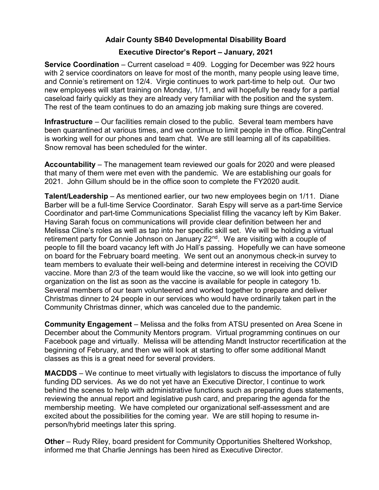## Adair County SB40 Developmental Disability Board

## Executive Director's Report – January, 2021

Service Coordination – Current caseload = 409. Logging for December was 922 hours with 2 service coordinators on leave for most of the month, many people using leave time, and Connie's retirement on 12/4. Virgie continues to work part-time to help out. Our two new employees will start training on Monday, 1/11, and will hopefully be ready for a partial caseload fairly quickly as they are already very familiar with the position and the system. The rest of the team continues to do an amazing job making sure things are covered.

Infrastructure – Our facilities remain closed to the public. Several team members have been quarantined at various times, and we continue to limit people in the office. RingCentral is working well for our phones and team chat. We are still learning all of its capabilities. Snow removal has been scheduled for the winter.

Accountability – The management team reviewed our goals for 2020 and were pleased that many of them were met even with the pandemic. We are establishing our goals for 2021. John Gillum should be in the office soon to complete the FY2020 audit.

Talent/Leadership – As mentioned earlier, our two new employees begin on 1/11. Diane Barber will be a full-time Service Coordinator. Sarah Espy will serve as a part-time Service Coordinator and part-time Communications Specialist filling the vacancy left by Kim Baker. Having Sarah focus on communications will provide clear definition between her and Melissa Cline's roles as well as tap into her specific skill set. We will be holding a virtual retirement party for Connie Johnson on January 22<sup>nd</sup>. We are visiting with a couple of people to fill the board vacancy left with Jo Hall's passing. Hopefully we can have someone on board for the February board meeting. We sent out an anonymous check-in survey to team members to evaluate their well-being and determine interest in receiving the COVID vaccine. More than 2/3 of the team would like the vaccine, so we will look into getting our organization on the list as soon as the vaccine is available for people in category 1b. Several members of our team volunteered and worked together to prepare and deliver Christmas dinner to 24 people in our services who would have ordinarily taken part in the Community Christmas dinner, which was canceled due to the pandemic.

Community Engagement – Melissa and the folks from ATSU presented on Area Scene in December about the Community Mentors program. Virtual programming continues on our Facebook page and virtually. Melissa will be attending Mandt Instructor recertification at the beginning of February, and then we will look at starting to offer some additional Mandt classes as this is a great need for several providers.

MACDDS – We continue to meet virtually with legislators to discuss the importance of fully funding DD services. As we do not yet have an Executive Director, I continue to work behind the scenes to help with administrative functions such as preparing dues statements, reviewing the annual report and legislative push card, and preparing the agenda for the membership meeting. We have completed our organizational self-assessment and are excited about the possibilities for the coming year. We are still hoping to resume inperson/hybrid meetings later this spring.

Other – Rudy Riley, board president for Community Opportunities Sheltered Workshop, informed me that Charlie Jennings has been hired as Executive Director.